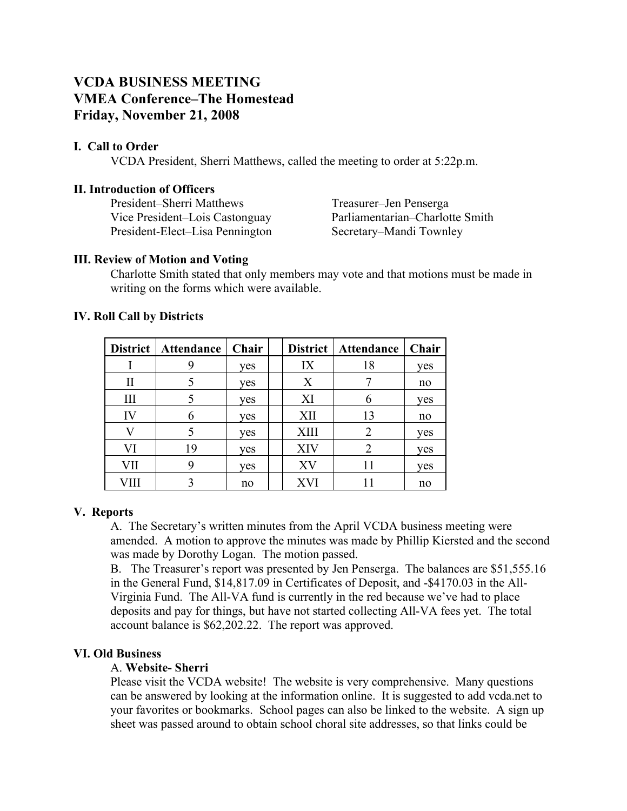# **VCDA BUSINESS MEETING VMEA Conference–The Homestead Friday, November 21, 2008**

# **I. Call to Order**

VCDA President, Sherri Matthews, called the meeting to order at 5:22p.m.

## **II. Introduction of Officers**

President–Sherri Matthews Treasurer–Jen Penserga Vice President–Lois Castonguay Parliamentarian–Charlotte Smith President-Elect–Lisa Pennington Secretary–Mandi Townley

## **III. Review of Motion and Voting**

Charlotte Smith stated that only members may vote and that motions must be made in writing on the forms which were available.

|     | District   Attendance   Chair |     |             | District   Attendance | Chair |
|-----|-------------------------------|-----|-------------|-----------------------|-------|
|     |                               | yes | IX          | 18                    | yes   |
|     |                               | yes | X           |                       | no    |
|     |                               | yes | XI          |                       | yes   |
| IV  | h                             | ves | XII         | 13                    | no    |
|     |                               | yes | <b>XIII</b> |                       | yes   |
| VI  | 19                            | yes | XIV         |                       | ves   |
| VII |                               | yes | XV          |                       | yes   |
|     |                               | no  | XVI         |                       | no    |

## **IV. Roll Call by Districts**

# **V. Reports**

A. The Secretary's written minutes from the April VCDA business meeting were amended. A motion to approve the minutes was made by Phillip Kiersted and the second was made by Dorothy Logan. The motion passed.

B. The Treasurer's report was presented by Jen Penserga. The balances are \$51,555.16 in the General Fund, \$14,817.09 in Certificates of Deposit, and -\$4170.03 in the All-Virginia Fund. The All-VA fund is currently in the red because we've had to place deposits and pay for things, but have not started collecting All-VA fees yet. The total account balance is \$62,202.22. The report was approved.

# **VI. Old Business**

# A. **Website- Sherri**

Please visit the VCDA website! The website is very comprehensive. Many questions can be answered by looking at the information online. It is suggested to add vcda.net to your favorites or bookmarks. School pages can also be linked to the website. A sign up sheet was passed around to obtain school choral site addresses, so that links could be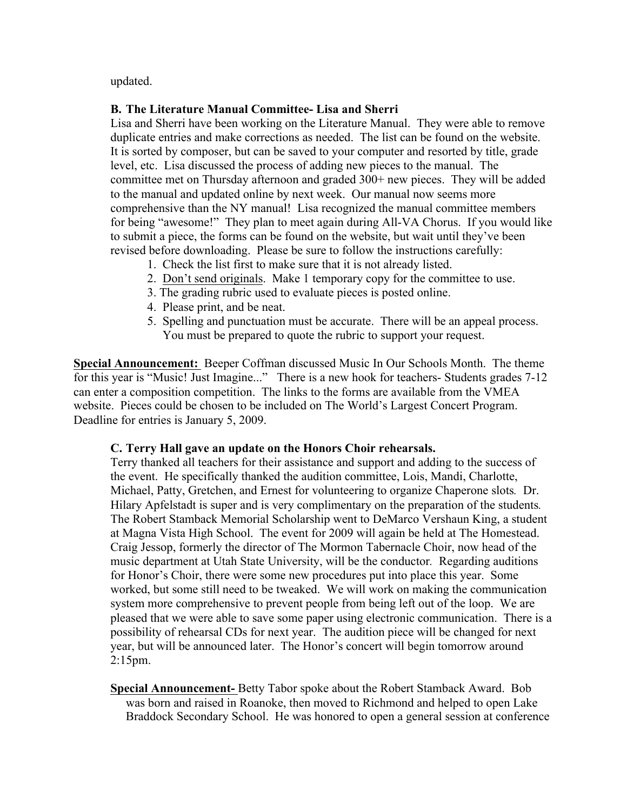updated.

# **B. The Literature Manual Committee- Lisa and Sherri**

Lisa and Sherri have been working on the Literature Manual. They were able to remove duplicate entries and make corrections as needed. The list can be found on the website. It is sorted by composer, but can be saved to your computer and resorted by title, grade level, etc. Lisa discussed the process of adding new pieces to the manual. The committee met on Thursday afternoon and graded 300+ new pieces. They will be added to the manual and updated online by next week. Our manual now seems more comprehensive than the NY manual! Lisa recognized the manual committee members for being "awesome!" They plan to meet again during All-VA Chorus. If you would like to submit a piece, the forms can be found on the website, but wait until they've been revised before downloading. Please be sure to follow the instructions carefully:

- 1. Check the list first to make sure that it is not already listed.
- 2. Don't send originals. Make 1 temporary copy for the committee to use.
- 3. The grading rubric used to evaluate pieces is posted online.
- 4. Please print, and be neat.
- 5. Spelling and punctuation must be accurate. There will be an appeal process. You must be prepared to quote the rubric to support your request.

**Special Announcement:** Beeper Coffman discussed Music In Our Schools Month. The theme for this year is "Music! Just Imagine..." There is a new hook for teachers- Students grades 7-12 can enter a composition competition. The links to the forms are available from the VMEA website. Pieces could be chosen to be included on The World's Largest Concert Program. Deadline for entries is January 5, 2009.

#### **C. Terry Hall gave an update on the Honors Choir rehearsals.**

Terry thanked all teachers for their assistance and support and adding to the success of the event. He specifically thanked the audition committee, Lois, Mandi, Charlotte, Michael, Patty, Gretchen, and Ernest for volunteering to organize Chaperone slots*.* Dr. Hilary Apfelstadt is super and is very complimentary on the preparation of the students*.*  The Robert Stamback Memorial Scholarship went to DeMarco Vershaun King, a student at Magna Vista High School. The event for 2009 will again be held at The Homestead. Craig Jessop, formerly the director of The Mormon Tabernacle Choir, now head of the music department at Utah State University, will be the conductor*.* Regarding auditions for Honor's Choir, there were some new procedures put into place this year. Some worked, but some still need to be tweaked. We will work on making the communication system more comprehensive to prevent people from being left out of the loop. We are pleased that we were able to save some paper using electronic communication. There is a possibility of rehearsal CDs for next year. The audition piece will be changed for next year, but will be announced later. The Honor's concert will begin tomorrow around 2:15pm.

**Special Announcement-** Betty Tabor spoke about the Robert Stamback Award. Bob was born and raised in Roanoke, then moved to Richmond and helped to open Lake Braddock Secondary School. He was honored to open a general session at conference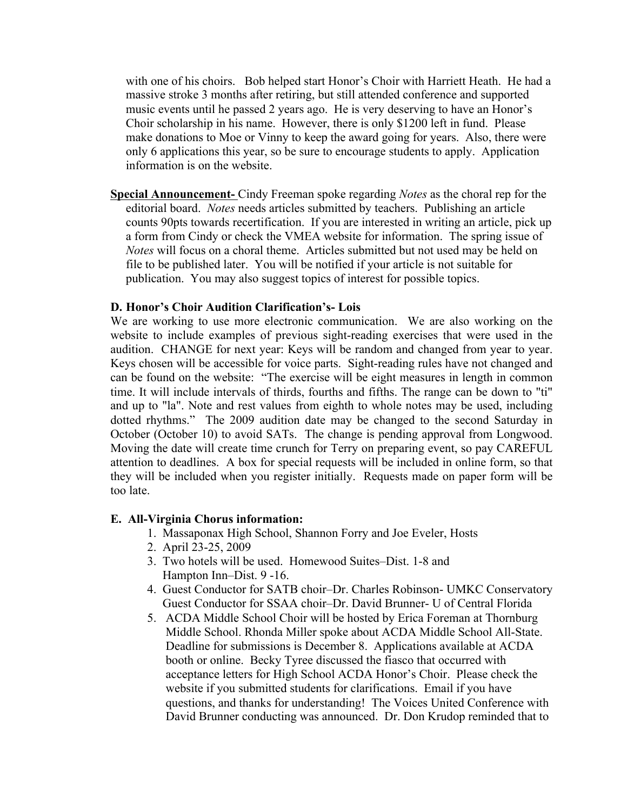with one of his choirs. Bob helped start Honor's Choir with Harriett Heath. He had a massive stroke 3 months after retiring, but still attended conference and supported music events until he passed 2 years ago. He is very deserving to have an Honor's Choir scholarship in his name. However, there is only \$1200 left in fund. Please make donations to Moe or Vinny to keep the award going for years. Also, there were only 6 applications this year, so be sure to encourage students to apply. Application information is on the website.

**Special Announcement-** Cindy Freeman spoke regarding *Notes* as the choral rep for the editorial board. *Notes* needs articles submitted by teachers. Publishing an article counts 90pts towards recertification. If you are interested in writing an article, pick up a form from Cindy or check the VMEA website for information. The spring issue of *Notes* will focus on a choral theme. Articles submitted but not used may be held on file to be published later. You will be notified if your article is not suitable for publication. You may also suggest topics of interest for possible topics.

#### **D. Honor's Choir Audition Clarification's- Lois**

We are working to use more electronic communication. We are also working on the website to include examples of previous sight-reading exercises that were used in the audition. CHANGE for next year: Keys will be random and changed from year to year. Keys chosen will be accessible for voice parts. Sight-reading rules have not changed and can be found on the website: "The exercise will be eight measures in length in common time. It will include intervals of thirds, fourths and fifths. The range can be down to "ti" and up to "la". Note and rest values from eighth to whole notes may be used, including dotted rhythms." The 2009 audition date may be changed to the second Saturday in October (October 10) to avoid SATs. The change is pending approval from Longwood. Moving the date will create time crunch for Terry on preparing event, so pay CAREFUL attention to deadlines. A box for special requests will be included in online form, so that they will be included when you register initially. Requests made on paper form will be too late.

#### **E. All-Virginia Chorus information:**

- 1. Massaponax High School, Shannon Forry and Joe Eveler, Hosts
- 2. April 23-25, 2009
- 3. Two hotels will be used. Homewood Suites–Dist. 1-8 and Hampton Inn–Dist. 9 -16.
- 4. Guest Conductor for SATB choir–Dr. Charles Robinson- UMKC Conservatory Guest Conductor for SSAA choir–Dr. David Brunner- U of Central Florida
- 5. ACDA Middle School Choir will be hosted by Erica Foreman at Thornburg Middle School. Rhonda Miller spoke about ACDA Middle School All-State. Deadline for submissions is December 8. Applications available at ACDA booth or online. Becky Tyree discussed the fiasco that occurred with acceptance letters for High School ACDA Honor's Choir. Please check the website if you submitted students for clarifications. Email if you have questions, and thanks for understanding! The Voices United Conference with David Brunner conducting was announced. Dr. Don Krudop reminded that to